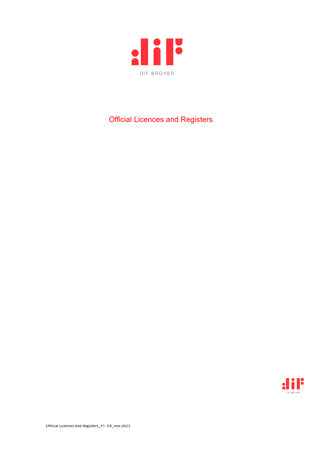

## Official Licences and Registers

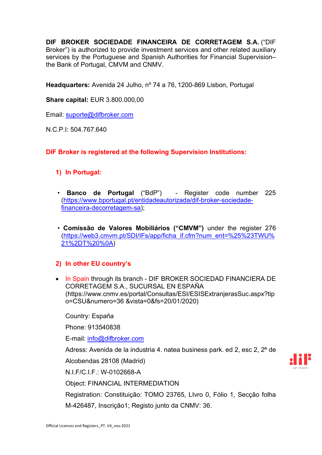**DIF BROKER SOCIEDADE FINANCEIRA DE CORRETAGEM S.A.** ("DIF Broker") is authorized to provide investment services and other related auxiliary services by the Portuguese and Spanish Authorities for Financial Supervision– the Bank of Portugal, CMVM and CNMV.

**Headquarters:** Avenida 24 Julho, nº 74 a 76, 1200-869 Lisbon, Portugal

**Share capital:** EUR 3.800.000,00

Email: [suporte@difbroker.com](mailto:suporte@difbroker.com)

N.C.P.I: 504.767.640

**DIF Broker is registered at the following Supervision Institutions:**

- **1) In Portugal:**
- **Banco de Portugal** ("BdP") Register code number 225 [\(https://www.bportugal.pt/entidadeautorizada/dif-broker-sociedade](https://www.bportugal.pt/entidadeautorizada/dif-broker-sociedade-financeira-decorretagem-sa)[financeira-decorretagem-sa\)](https://www.bportugal.pt/entidadeautorizada/dif-broker-sociedade-financeira-decorretagem-sa);
- **Comissão de Valores Mobiliários ("CMVM")** under the register 276 [\(https://web3.cmvm.pt/SDI/IFs/app/ficha\\_if.cfm?num\\_ent=%25%23TWU%](https://web3.cmvm.pt/SDI/IFs/app/ficha_if.cfm?num_ent=%25%23TWU%21%2DT%20%0A) [21%2DT%20%0A\)](https://web3.cmvm.pt/SDI/IFs/app/ficha_if.cfm?num_ent=%25%23TWU%21%2DT%20%0A)

## **2) In other EU country's**

• In Spain through its branch - DIF BROKER SOCIEDAD FINANCIERA DE CORRETAGEM S.A., SUCURSAL EN ESPAÑA (https://www.cnmv.es/portal/Consultas/ESI/ESISExtranjerasSuc.aspx?tip o=CSU&numero=36 &vista=0&fs=20/01/2020)

Country: España

Phone: 913540838

E-mail: [info@difbroker.com](mailto:info@difbroker.com)

Adress: Avenida de la industria 4. natea business park. ed 2, esc 2, 2ª de

Alcobendas 28108 (Madrid)

N.I.F/C.I.F.: W-0102668-A

Object: FINANCIAL INTERMEDIATION

Registration: Constituição: TOMO 23765, LIvro 0, Fólio 1, Secção folha

M-426487, Inscrição1; Registo junto da CNMV: 36.